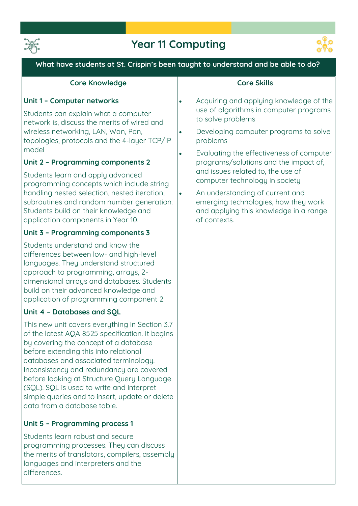

## **Year 11 Computing**



### **What have students at St. Crispin's been taught to understand and be able to do?**

#### **Core Knowledge**

#### **Unit 1 – Computer networks**

**Students can explain what a computer network is, discuss the merits of wired and wireless networking, LAN, Wan, Pan, topologies, protocols and the 4-layer TCP/IP model**

## **Unit 2 – Programming components 2**

**Students learn and apply advanced programming concepts which include string handling nested selection, nested iteration, subroutines and random number generation. Students build on their knowledge and application components in Year 10.** 

#### **Unit 3 – Programming components 3**

**Students understand and know the differences between low- and high-level languages. They understand structured approach to programming, arrays, 2 dimensional arrays and databases. Students build on their advanced knowledge and application of programming component 2.**

#### **Unit 4 – Databases and SQL**

**This new unit covers everything in Section 3.7 of the latest AQA 8525 specification. It begins by covering the concept of a database before extending this into relational databases and associated terminology. Inconsistency and redundancy are covered before looking at Structure Query Language (SQL). SQL is used to write and interpret simple queries and to insert, update or delete data from a database table.** 

## **Unit 5 – Programming process 1**

**Students learn robust and secure programming processes. They can discuss the merits of translators, compilers, assembly languages and interpreters and the differences.**

#### **Core Skills**

- **Acquiring and applying knowledge of the use of algorithms in computer programs to solve problems**
- **Developing computer programs to solve problems**
- **Evaluating the effectiveness of computer programs/solutions and the impact of, and issues related to, the use of computer technology in society** 
	- **An understanding of current and emerging technologies, how they work and applying this knowledge in a range of contexts.**